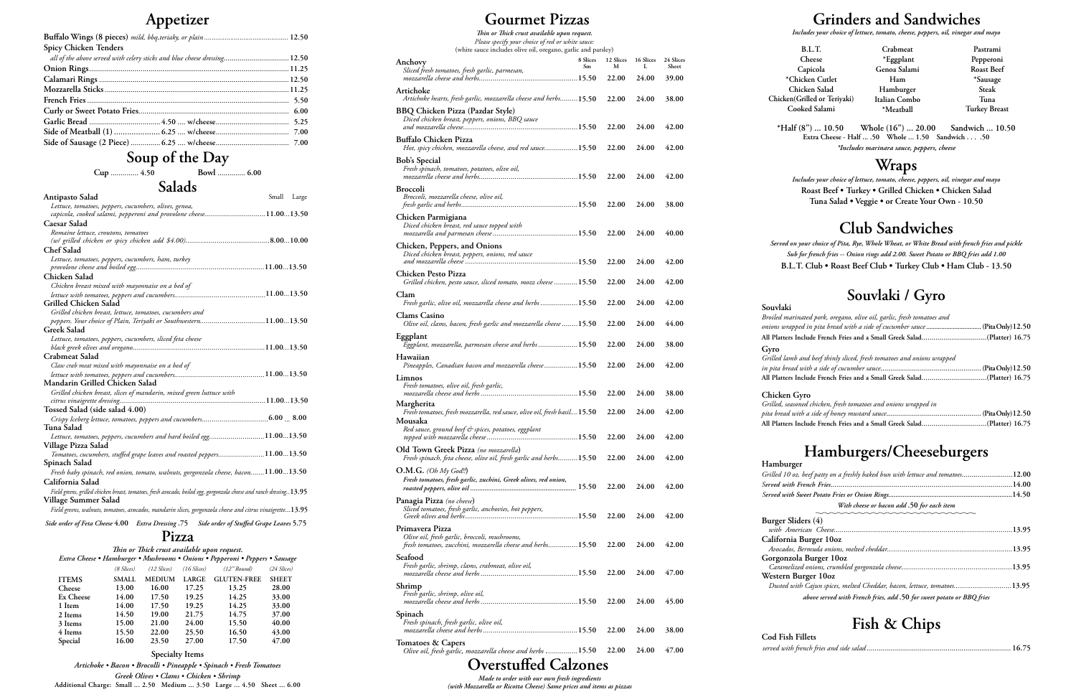# **Appetizer Grinders and Sandwiches**

| Spicy Chicken Tenders                                                     |  |
|---------------------------------------------------------------------------|--|
| all of the above served with celery sticks and blue cheese dressing 12.50 |  |
|                                                                           |  |
|                                                                           |  |
|                                                                           |  |
|                                                                           |  |
|                                                                           |  |
|                                                                           |  |
|                                                                           |  |
|                                                                           |  |

**Soup of the Day**

**Cup** .............. **4.50 Bowl** .............. **6.00**

 $S = 11 - T$ 

| Salads |
|--------|
|--------|

**\*Chicken Cutlet Chicken Salad Chicken**(G Coo

*Includes your choice of lettuce, tomato, cheese, peppers, oil, vinegar and mayo* 

**\*Half (8") ... 10.50 Whole (16") ... 20.00 Sandwich ... 10.50 Extra Cheese - Half ... .50 Whole ... 1.50 Sandwich . . . .50** *\*Includes marinara sauce, peppers, cheese*

## **Wraps**

*Includes your choice of lettuce, tomato, cheese, peppers, oil, vinegar and mayo*  **Roast Beef • Turkey • Grilled Chicken • Chicken Salad Tuna Salad • Veggie • or Create Your Own - 10.50** 

# **Club Sandwiches**

*Served on your choice of Pita, Rye, Whole Wheat, or White Bread with french fries and pickle Sub for french fries -- Onion rings add 2.00. Sweet Potato or BBQ fries add 1.00* **B.L.T. Club • Roast Beef Club • Turkey Club • Ham Club - 13.50** 

# **Souvlaki / Gyro**

**Souvlaki** *Broiled ma onions wra* **Gyro**  $G$ rilled lan *in pita bread with a side of cucumber sauce*...................................................**(Pita Only) 12.50**

| Broiled marinated pork, oregano, olive oil, garlic, fresh tomatoes and      |  |
|-----------------------------------------------------------------------------|--|
| onions wrapped in pita bread with a side of cucumber sauce  (PitaOnly)12.50 |  |
| All Platters Include French Fries and a Small Greek Salad(Platter) 16.75    |  |

| Grilled lamb and beef thinly sliced, fresh tomatoes and onions wrapped   |  |
|--------------------------------------------------------------------------|--|
|                                                                          |  |
| All Platters Include French Fries and a Small Greek Salad(Platter) 16.75 |  |

**Chicken Gyro** *Grilled, sea pita bread with a side of honey mustard sauce*................................................**(Pita Only) 12.50**

 $Grilled 10$ 

**Burger Sl**<br>with An **Californ** 

Gorgonz **Western**<br>*Dusted* 

| Grilled, seasoned chicken, fresh tomatoes and onions wrapped in          |  |
|--------------------------------------------------------------------------|--|
|                                                                          |  |
| All Platters Include French Fries and a Small Greek Salad(Platter) 16.75 |  |

# **Hamburgers/Cheeseburgers Hamburger**

| Grilled 10 oz. beef patty on a freshly baked bun with lettuce and tomatoes12.00 |  |
|---------------------------------------------------------------------------------|--|
|                                                                                 |  |
|                                                                                 |  |
| With cheese or bacon add .50 for each item                                      |  |
|                                                                                 |  |

# **Fish & Chips Cod Fish Fillets**

*served with french fries and side salad*......................................................................... **16.75**

| B.L.T.               | Crabmeat      | Pastrami             |
|----------------------|---------------|----------------------|
| Cheese               | *Eggplant     | Pepperoni            |
| Capicola             | Genoa Salami  | <b>Roast Beef</b>    |
| icken Cutlet         | Ham           | *Sausage             |
| iicken Salad         | Hamburger     | Steak                |
| Grilled or Teriyaki) | Italian Combo | Tuna                 |
| oked Salami          | *Meatball     | <b>Turkey Breast</b> |
|                      |               |                      |

**Pizza**

**Specialty Items**

|                                                                                                                        |                                         | Small Large |  |
|------------------------------------------------------------------------------------------------------------------------|-----------------------------------------|-------------|--|
| <b>Antipasto Salad</b>                                                                                                 |                                         |             |  |
| Lettuce, tomatoes, peppers, cucumbers, olives, genoa,                                                                  |                                         |             |  |
| capicola, cooked salami, pepperoni and provolone cheese11.0013.50                                                      |                                         |             |  |
| Caesar Salad                                                                                                           |                                         |             |  |
| Romaine lettuce, croutons, tomatoes                                                                                    |                                         |             |  |
|                                                                                                                        |                                         |             |  |
| Chef Salad                                                                                                             |                                         |             |  |
| Lettuce, tomatoes, peppers, cucumbers, ham, turkey                                                                     |                                         |             |  |
|                                                                                                                        |                                         |             |  |
| Chicken Salad                                                                                                          |                                         |             |  |
| Chicken breast mixed with mayonnaise on a bed of                                                                       |                                         |             |  |
|                                                                                                                        |                                         |             |  |
| <b>Grilled Chicken Salad</b>                                                                                           |                                         |             |  |
| Grilled chicken breast, lettuce, tomatoes, cucumbers and                                                               |                                         |             |  |
| peppers. Your choice of Plain, Teriyaki or Southwestern11.0013.50                                                      |                                         |             |  |
| <b>Greek Salad</b>                                                                                                     |                                         |             |  |
| Lettuce, tomatoes, peppers, cucumbers, sliced feta cheese                                                              |                                         |             |  |
|                                                                                                                        |                                         |             |  |
| Crabmeat Salad                                                                                                         |                                         |             |  |
| Claw crab meat mixed with mayonnaise on a bed of                                                                       |                                         |             |  |
|                                                                                                                        |                                         |             |  |
| Mandarin Grilled Chicken Salad                                                                                         |                                         |             |  |
|                                                                                                                        |                                         |             |  |
| Grilled chicken breast, slices of mandarin, mixed green luttuce with                                                   |                                         |             |  |
|                                                                                                                        |                                         |             |  |
| Tossed Salad (side salad 4.00)                                                                                         |                                         |             |  |
|                                                                                                                        |                                         |             |  |
| Tuna Salad                                                                                                             |                                         |             |  |
| Lettuce, tomatoes, peppers, cucumbers and hard boiled egg11.0013.50                                                    |                                         |             |  |
| Village Pizza Salad                                                                                                    |                                         |             |  |
| Tomatoes, cucumbers, stuffed grape leaves and roasted peppers11.0013.50                                                |                                         |             |  |
| Spinach Salad                                                                                                          |                                         |             |  |
| Fresh baby spinach, red onion, tomato, walnuts, gorgonzola cheese, bacon11.0013.50                                     |                                         |             |  |
| California Salad                                                                                                       |                                         |             |  |
| Field greens, grilled chicken breast, tomatoes, fresh avocado, boiled egg, gorgonzola cheese and ranch dressing. 13.95 |                                         |             |  |
| Village Summer Salad                                                                                                   |                                         |             |  |
| Field greens, walnuts, tomatoes, avocados, mandarin slices, gorgonzola cheese and citrus vinaigrette13.95              |                                         |             |  |
|                                                                                                                        |                                         |             |  |
| 57. Side order of Feta Cheese 4.00 Extra Dressing                                                                      | Side order of Stuffed Grape Leaves 5.75 |             |  |

*Artichoke • Bacon • Brocolli • Pineapple • Spinach • Fresh Tomatoes Greek Olives • Clams • Chicken • Shrimp* **Additional Charge: Small ... 2.50 Medium ... 3.50 Large ... 4.50 Sheet ... 6.00**

|                                                                               | Thin or Thick crust available upon request. |              |                  |                  |                    |              |  |  |
|-------------------------------------------------------------------------------|---------------------------------------------|--------------|------------------|------------------|--------------------|--------------|--|--|
| Extra Cheese • Hamburger • Mushrooms • Onions • Pepperoni • Peppers • Sausage |                                             |              |                  |                  |                    |              |  |  |
|                                                                               |                                             | (8 Slices)   | $(12 \, Slices)$ | $(16 \, Slices)$ | $(12"$ Round)      | (24 Slices)  |  |  |
|                                                                               | <b>ITEMS</b>                                | <b>SMALL</b> | <b>MEDIUM</b>    | <b>LARGE</b>     | <b>GLUTEN-FREE</b> | <b>SHEET</b> |  |  |
|                                                                               | Cheese                                      | 13.00        | 16.00            | 17.25            | 13.25              | 28.00        |  |  |
|                                                                               | Ex Cheese                                   | 14.00        | 17.50            | 19.25            | 14.25              | 33.00        |  |  |
|                                                                               | 1 Item                                      | 14.00        | 17.50            | 19.25            | 14.25              | 33.00        |  |  |
|                                                                               | 2 Items                                     | 14.50        | 19.00            | 21.75            | 14.75              | 37.00        |  |  |
|                                                                               | 3 Items                                     | 15.00        | 21.00            | 24.00            | 15.50              | 40.00        |  |  |
|                                                                               | 4 Items                                     | 15.50        | 22.00            | 25.50            | 16.50              | 43.00        |  |  |
|                                                                               | Special                                     | 16.00        | 23.50            | 27.00            | 17.50              | 47.00        |  |  |
|                                                                               |                                             |              |                  |                  |                    |              |  |  |

# **Gourmet Pizzas**

## **Overstuffed Calzones**

*Made to order with our own fresh ingredients (with Mozzarella or Ricotta Cheese) Same prices and items as pizzas*

| Thin or Thick crust available upon request.                                                                                    |                |                |                |                    |
|--------------------------------------------------------------------------------------------------------------------------------|----------------|----------------|----------------|--------------------|
| Please specify your choice of red or white sauce:<br>(white sauce includes olive oil, oregano, garlic and parsley)             |                |                |                |                    |
| Anchovy<br>Sliced fresh tomatoes, fresh garlic, parmesan,                                                                      | 8 Slices<br>Sm | 12 Slices<br>M | 16 Slices<br>L | 24 Slices<br>Sheet |
| Artichoke                                                                                                                      |                | 22.00          | 24.00          | 39.00              |
| Artichoke hearts, fresh garlic, mozzarella cheese and herbs15.50                                                               |                | 22.00          | 24.00          | 38.00              |
| <b>BBQ Chicken Pizza (Pazdar Style)</b><br>Diced chicken breast, peppers, onions, BBQ sauce                                    |                |                |                |                    |
| <b>Buffalo Chicken Pizza</b>                                                                                                   |                | 22.00          | 24.00          | 42.00              |
| Hot, spicy chicken, mozzarella cheese, and red sauce15.50<br><b>Bob's Special</b>                                              |                | 22.00          | 24.00          | 42.00              |
| Fresh spinach, tomatoes, potatoes, olive oil,                                                                                  |                | 22.00          | 24.00          | 42.00              |
| <b>Broccoli</b><br>Broccoli, mozzarella cheese, olive oil,                                                                     |                | 22.00          | 24.00          | 38.00              |
| Chicken Parmigiana<br>Diced chicken breast, red sauce topped with                                                              |                | 22.00          | 24.00          | 40.00              |
| Chicken, Peppers, and Onions<br>Diced chicken breast, peppers, onions, red sauce                                               |                | 22.00          | 24.00          | 42.00              |
| Chicken Pesto Pizza<br>Grilled chicken, pesto sauce, sliced tomato, mozz cheese  15.50                                         |                | 22.00          | 24.00          | 42.00              |
| Clam<br>Fresh garlic, olive oil, mozzarella cheese and herbs15.50                                                              |                | 22.00          | 24.00          | 42.00              |
| <b>Clams Casino</b><br>Olive oil, clams, bacon, fresh garlic and mozzarella cheese 15.50                                       |                | 22.00          | 24.00          | 44.00              |
| Eggplant<br>Eggplant, mozzarella, parmesan cheese and herbs15.50                                                               |                | 22.00          | 24.00          | 38.00              |
| Hawaiian<br>Pineapples, Canadian bacon and mozzarella cheese15.50                                                              |                | 22.00          | 24.00          | 42.00              |
| Limnos<br>Fresh tomatoes, olive oil, fresh garlic,                                                                             |                | 22.00          | 24.00          | 38.00              |
| Margherita<br>Fresh tomatoes, fresh mozzarella, red sauce, olive oil, fresh basil15.50                                         |                |                |                |                    |
| Mousaka<br>Red sauce, ground beef & spices, potatoes, eggplant                                                                 |                | 22.00          | 24.00          | 42.00              |
| Old Town Greek Pizza (no mozzarella)                                                                                           |                | 22.00          | 24.00          | 42.00              |
| Fresh spinach, feta cheese, olive oil, fresh garlic and herbs15.50<br>$O.M.G.$ (Oh My God!!)                                   |                | 22.00          | 24.00          | 42.00              |
| Fresh tomatoes, fresh garlic, zuchini, Greek olives, red onion,                                                                |                | 22.00          | 24.00          | 42.00              |
| Panagia Pizza (no cheese)<br>Sliced tomatoes, fresh garlic, anchovies, hot peppers,                                            |                | 22.00          | 24.00          | 42.00              |
| Primavera Pizza<br>Olive oil, fresh garlic, broccoli, mushrooms,<br>fresh tomatoes, zucchini, mozzarella cheese and herbs15.50 |                | 22.00          | 24.00          | 42.00              |
| Seafood<br>Fresh garlic, shrimp, clams, crabmeat, olive oil,                                                                   |                | 22.00          | 24.00          | 47.00              |
| Shrimp<br>Fresh garlic, shrimp, olive oil,                                                                                     |                | 22.00          | 24.00          | 45.00              |
| Spinach                                                                                                                        |                |                |                |                    |
| Fresh spinach, fresh garlic, olive oil,                                                                                        |                | 22.00          | 24.00          | 38.00              |
| Tomatoes & Capers<br>Olive oil, fresh garlic, mozzarella cheese and herbs 15.50                                                |                | 22.00          | 24.00          | 47.00              |

| urger Sliders (4)                                                       |  |
|-------------------------------------------------------------------------|--|
|                                                                         |  |
| alifornia Burger 10oz                                                   |  |
|                                                                         |  |
| orgonzola Burger 10oz                                                   |  |
|                                                                         |  |
| estern Burger 10oz                                                      |  |
| Dusted with Cajun spices, melted Cheddar, bacon, lettuce, tomatoes13.95 |  |
| above served with French fries, add .50 for sweet potato or BBQ fries   |  |
|                                                                         |  |